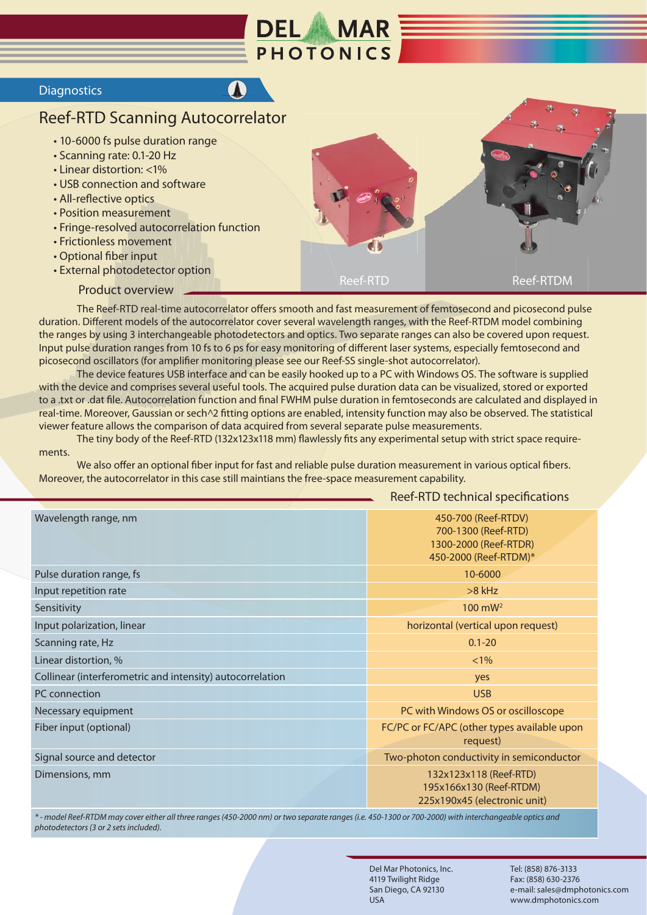

## **Diagnostics**

## Reef-RTD Scanning Autocorrelator

- 10-6000 fs pulse duration range
- Scanning rate: 0.1-20 Hz
- Linear distortion: <1%
- USB connection and software
- All-reflective optics
- Position measurement
- Fringe-resolved autocorrelation function
- Frictionless movement
- Optional fiber input
- External photodetector option
	- Product overview



 The Reef-RTD real-time autocorrelator offers smooth and fast measurement of femtosecond and picosecond pulse duration. Different models of the autocorrelator cover several wavelength ranges, with the Reef-RTDM model combining the ranges by using 3 interchangeable photodetectors and optics. Two separate ranges can also be covered upon request. Input pulse duration ranges from 10 fs to 6 ps for easy monitoring of different laser systems, especially femtosecond and picosecond oscillators (for amplifier monitoring please see our Reef-SS single-shot autocorrelator).

 The device features USB interface and can be easily hooked up to a PC with Windows OS. The software is supplied with the device and comprises several useful tools. The acquired pulse duration data can be visualized, stored or exported to a .txt or .dat file. Autocorrelation function and final FWHM pulse duration in femtoseconds are calculated and displayed in real-time. Moreover, Gaussian or sech^2 fitting options are enabled, intensity function may also be observed. The statistical viewer feature allows the comparison of data acquired from several separate pulse measurements.

 The tiny body of the Reef-RTD (132x123x118 mm) flawlessly fits any experimental setup with strict space requirements.

 We also offer an optional fiber input for fast and reliable pulse duration measurement in various optical fibers. Moreover, the autocorrelator in this case still maintians the free-space measurement capability.

## Reef-RTD technical specifications

| Wavelength range, nm                                      | 450-700 (Reef-RTDV)<br>700-1300 (Reef-RTD)<br>1300-2000 (Reef-RTDR)<br>450-2000 (Reef-RTDM)* |
|-----------------------------------------------------------|----------------------------------------------------------------------------------------------|
| Pulse duration range, fs                                  | 10-6000                                                                                      |
| Input repetition rate                                     | $>8$ kHz                                                                                     |
| Sensitivity                                               | $100 \text{ mW}^2$                                                                           |
| Input polarization, linear                                | horizontal (vertical upon request)                                                           |
| Scanning rate, Hz                                         | $0.1 - 20$                                                                                   |
| Linear distortion, %                                      | $< 1\%$                                                                                      |
| Collinear (interferometric and intensity) autocorrelation | yes                                                                                          |
| PC connection                                             | <b>USB</b>                                                                                   |
| Necessary equipment                                       | PC with Windows OS or oscilloscope                                                           |
| Fiber input (optional)                                    | FC/PC or FC/APC (other types available upon<br>request)                                      |
| Signal source and detector                                | Two-photon conductivity in semiconductor                                                     |
| Dimensions, mm                                            | 132x123x118 (Reef-RTD)<br>195x166x130 (Reef-RTDM)<br>225x190x45 (electronic unit)            |

*\* - model Reef-RTDM may cover either all three ranges (450-2000 nm) or two separate ranges (i.e. 450-1300 or 700-2000) with interchangeable optics and photodetectors (3 or 2 sets included).*

> Del Mar Photonics, Inc. 4119 Twilight Ridge San Diego, CA 92130 USA